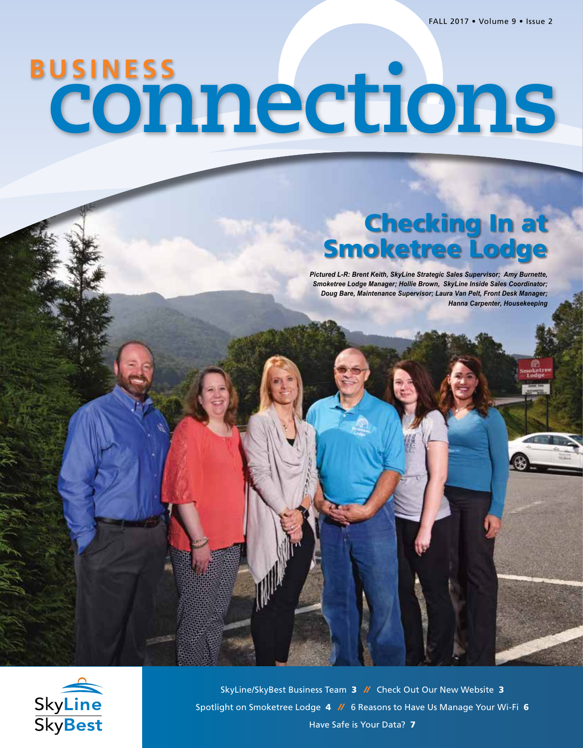*// Business Connections //*

# **connections BUSINESS**

## Checking In at Smoketree Lodge

*Pictured L-R: Brent Keith, SkyLine Strategic Sales Supervisor; Amy Burnette, Smoketree Lodge Manager; Hollie Brown, SkyLine Inside Sales Coordinator; Doug Bare, Maintenance Supervisor; Laura Van Pelt, Front Desk Manager; Hanna Carpenter, Housekeeping*



SkyLine/SkyBest Business Team 3 *//* Check Out Our New Website 3 Spotlight on Smoketree Lodge 4 *//* 6 Reasons to Have Us Manage Your Wi-Fi 6 Have Safe is Your Data? 7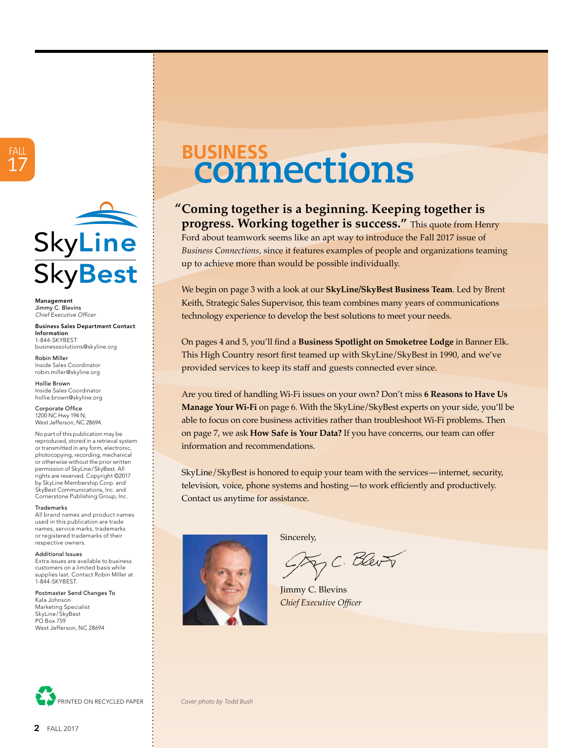

Management Jimmy C. Blevins *Chief Executive Officer*

Business Sales Department Contact Information 1-844-SKYBEST businesssolutions@skyline.org

Robin Miller Inside Sales Coordinator robin.miller@skyline.org

Hollie Brown Inside Sales Coordinator hollie.brown@skyline.org

Corporate Office 1200 NC Hwy 194 N, West Jefferson, NC 28694.

No part of this publication may be reproduced, stored in a retrieval system or transmitted in any form, electronic, photocopying, recording, mechanical or otherwise without the prior written permission of SkyLine/SkyBest. All rights are reserved. Copyright ©2017 by SkyLine Membership Corp. and SkyBest Communications, Inc. and Cornerstone Publishing Group, Inc.

Trademarks

All brand names and product names used in this publication are trade names, service marks, trademarks or registered trademarks of their respective owners.

Additional Issues

Extra issues are available to business customers on a limited basis while supplies last. Contact Robin Miller at 1-844-SKYBEST.

Postmaster Send Changes To Kala Johnson Marketing Specialist

SkyLine/SkyBest PO Box 759 West Jefferson, NC 28694



# **connections BUSINESS**

#### **Coming together is a beginning. Keeping together is "progress. Working together is success."** This quote from Henry

Ford about teamwork seems like an apt way to introduce the Fall 2017 issue of *Business Connections*, since it features examples of people and organizations teaming up to achieve more than would be possible individually.

We begin on page 3 with a look at our **SkyLine/SkyBest Business Team**. Led by Brent Keith, Strategic Sales Supervisor, this team combines many years of communications technology experience to develop the best solutions to meet your needs.

On pages 4 and 5, you'll find a **Business Spotlight on Smoketree Lodge** in Banner Elk. This High Country resort first teamed up with SkyLine/SkyBest in 1990, and we've provided services to keep its staff and guests connected ever since.

Are you tired of handling Wi-Fi issues on your own? Don't miss **6 Reasons to Have Us Manage Your Wi-Fi** on page 6. With the SkyLine/SkyBest experts on your side, you'll be able to focus on core business activities rather than troubleshoot Wi-Fi problems. Then on page 7, we ask **How Safe is Your Data?** If you have concerns, our team can offer information and recommendations.

SkyLine/SkyBest is honored to equip your team with the services—internet, security, television, voice, phone systems and hosting—to work efficiently and productively. Contact us anytime for assistance.



Sincerely,

F.C. Blev T

Jimmy C. Blevins *Chief Executive Officer*

PRINTED ON RECYCLED PAPER *Cover photo by Todd Bush*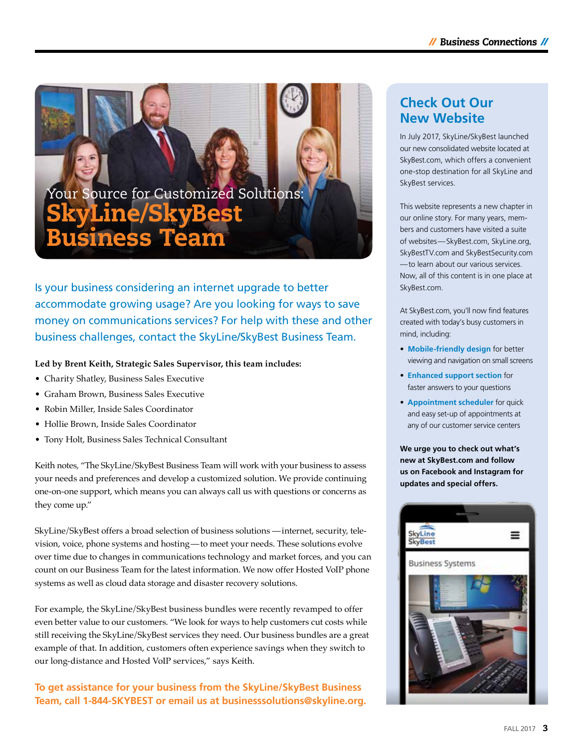Your Source for Customized Solutions: SkyLine/SkyBest Business Team

Is your business considering an internet upgrade to better accommodate growing usage? Are you looking for ways to save money on communications services? For help with these and other business challenges, contact the SkyLine/SkyBest Business Team.

#### **Led by Brent Keith, Strategic Sales Supervisor, this team includes:**

- Charity Shatley, Business Sales Executive
- Graham Brown, Business Sales Executive
- Robin Miller, Inside Sales Coordinator
- Hollie Brown, Inside Sales Coordinator
- Tony Holt, Business Sales Technical Consultant

Keith notes, "The SkyLine/SkyBest Business Team will work with your business to assess your needs and preferences and develop a customized solution. We provide continuing one-on-one support, which means you can always call us with questions or concerns as they come up."

SkyLine/SkyBest offers a broad selection of business solutions  —internet, security, television, voice, phone systems and hosting—to meet your needs. These solutions evolve over time due to changes in communications technology and market forces, and you can count on our Business Team for the latest information. We now offer Hosted VoIP phone systems as well as cloud data storage and disaster recovery solutions.

For example, the SkyLine/SkyBest business bundles were recently revamped to offer even better value to our customers. "We look for ways to help customers cut costs while still receiving the SkyLine/SkyBest services they need. Our business bundles are a great example of that. In addition, customers often experience savings when they switch to our long-distance and Hosted VoIP services," says Keith.

**To get assistance for your business from the SkyLine/SkyBest Business Team, call 1-844-SKYBEST or email us at businesssolutions@skyline.org.**

#### **Check Out Our New Website**

In July 2017, SkyLine/SkyBest launched our new consolidated website located at SkyBest.com, which offers a convenient one-stop destination for all SkyLine and SkyBest services.

This website represents a new chapter in our online story. For many years, members and customers have visited a suite of websites—SkyBest.com, SkyLine.org, SkyBestTV.com and SkyBestSecurity.com —to learn about our various services. Now, all of this content is in one place at SkyBest.com.

At SkyBest.com, you'll now find features created with today's busy customers in mind, including:

- **Mobile-friendly design** for better viewing and navigation on small screens
- **Enhanced support section** for faster answers to your questions
- **Appointment scheduler** for quick and easy set-up of appointments at any of our customer service centers

**We urge you to check out what's new at SkyBest.com and follow us on Facebook and Instagram for updates and special offers.**

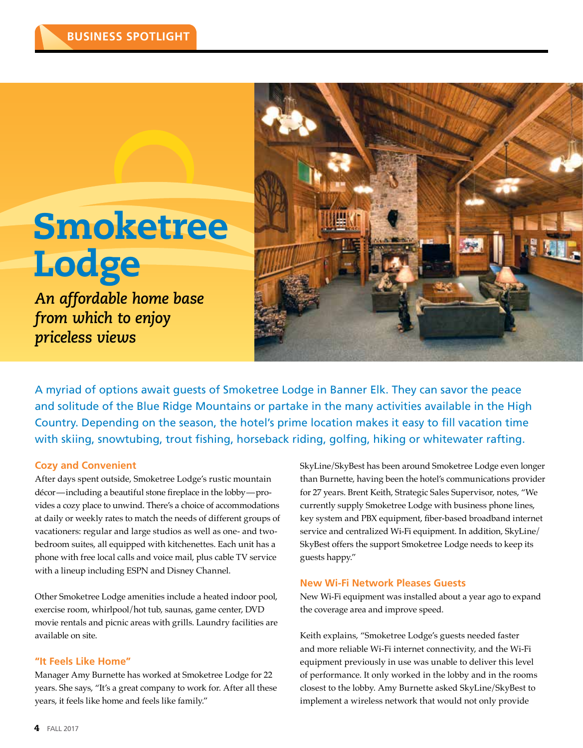# **Smoketree Lodge**

*An affordable home base from which to enjoy priceless views*



A myriad of options await guests of Smoketree Lodge in Banner Elk. They can savor the peace and solitude of the Blue Ridge Mountains or partake in the many activities available in the High Country. Depending on the season, the hotel's prime location makes it easy to fill vacation time with skiing, snowtubing, trout fishing, horseback riding, golfing, hiking or whitewater rafting.

#### **Cozy and Convenient**

After days spent outside, Smoketree Lodge's rustic mountain décor—including a beautiful stone fireplace in the lobby—provides a cozy place to unwind. There's a choice of accommodations at daily or weekly rates to match the needs of different groups of vacationers: regular and large studios as well as one- and twobedroom suites, all equipped with kitchenettes. Each unit has a phone with free local calls and voice mail, plus cable TV service with a lineup including ESPN and Disney Channel.

Other Smoketree Lodge amenities include a heated indoor pool, exercise room, whirlpool/hot tub, saunas, game center, DVD movie rentals and picnic areas with grills. Laundry facilities are available on site.

#### **"It Feels Like Home"**

Manager Amy Burnette has worked at Smoketree Lodge for 22 years. She says, "It's a great company to work for. After all these years, it feels like home and feels like family."

SkyLine/SkyBest has been around Smoketree Lodge even longer than Burnette, having been the hotel's communications provider for 27 years. Brent Keith, Strategic Sales Supervisor, notes, "We currently supply Smoketree Lodge with business phone lines, key system and PBX equipment, fiber-based broadband internet service and centralized Wi-Fi equipment. In addition, SkyLine/ SkyBest offers the support Smoketree Lodge needs to keep its guests happy."

#### **New Wi-Fi Network Pleases Guests**

New Wi-Fi equipment was installed about a year ago to expand the coverage area and improve speed.

Keith explains, "Smoketree Lodge's guests needed faster and more reliable Wi-Fi internet connectivity, and the Wi-Fi equipment previously in use was unable to deliver this level of performance. It only worked in the lobby and in the rooms closest to the lobby. Amy Burnette asked SkyLine/SkyBest to implement a wireless network that would not only provide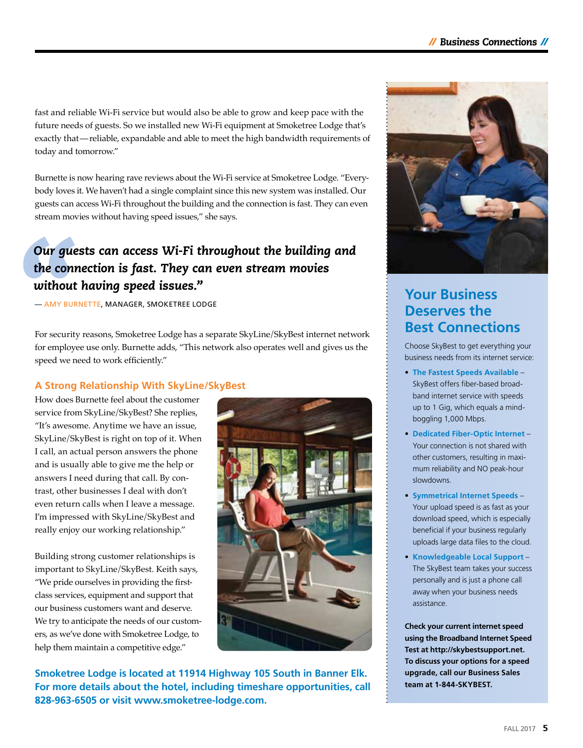fast and reliable Wi-Fi service but would also be able to grow and keep pace with the future needs of guests. So we installed new Wi-Fi equipment at Smoketree Lodge that's exactly that—reliable, expandable and able to meet the high bandwidth requirements of today and tomorrow."

Burnette is now hearing rave reviews about the Wi-Fi service at Smoketree Lodge. "Everybody loves it. We haven't had a single complaint since this new system was installed. Our guests can access Wi-Fi throughout the building and the connection is fast. They can even stream movies without having speed issues," she says.

#### *Our guests can access Wi-Fi throughout the building and the connection is fast. They can even stream movies without having speed issues."*

— AMY BURNETTE, MANAGER, SMOKETREE LODGE

For security reasons, Smoketree Lodge has a separate SkyLine/SkyBest internet network for employee use only. Burnette adds, "This network also operates well and gives us the speed we need to work efficiently."

#### **A Strong Relationship With SkyLine/SkyBest**

How does Burnette feel about the customer service from SkyLine/SkyBest? She replies, "It's awesome. Anytime we have an issue, SkyLine/SkyBest is right on top of it. When I call, an actual person answers the phone and is usually able to give me the help or answers I need during that call. By contrast, other businesses I deal with don't even return calls when I leave a message. I'm impressed with SkyLine/SkyBest and really enjoy our working relationship."

Building strong customer relationships is important to SkyLine/SkyBest. Keith says, "We pride ourselves in providing the firstclass services, equipment and support that our business customers want and deserve. We try to anticipate the needs of our customers, as we've done with Smoketree Lodge, to help them maintain a competitive edge."



**Smoketree Lodge is located at 11914 Highway 105 South in Banner Elk. For more details about the hotel, including timeshare opportunities, call 828-963-6505 or visit www.smoketree-lodge.com.** 



#### **Your Business Deserves the Best Connections**

Choose SkyBest to get everything your business needs from its internet service:

- **The Fastest Speeds Available** SkyBest offers fiber-based broadband internet service with speeds up to 1 Gig, which equals a mindboggling 1,000 Mbps.
- **Dedicated Fiber-Optic Internet** Your connection is not shared with other customers, resulting in maximum reliability and NO peak-hour slowdowns.
- **Symmetrical Internet Speeds** Your upload speed is as fast as your download speed, which is especially beneficial if your business regularly uploads large data files to the cloud.
- **Knowledgeable Local Support** The SkyBest team takes your success personally and is just a phone call away when your business needs assistance.

**Check your current internet speed using the Broadband Internet Speed Test at http://skybestsupport.net. To discuss your options for a speed upgrade, call our Business Sales team at 1-844-SKYBEST.**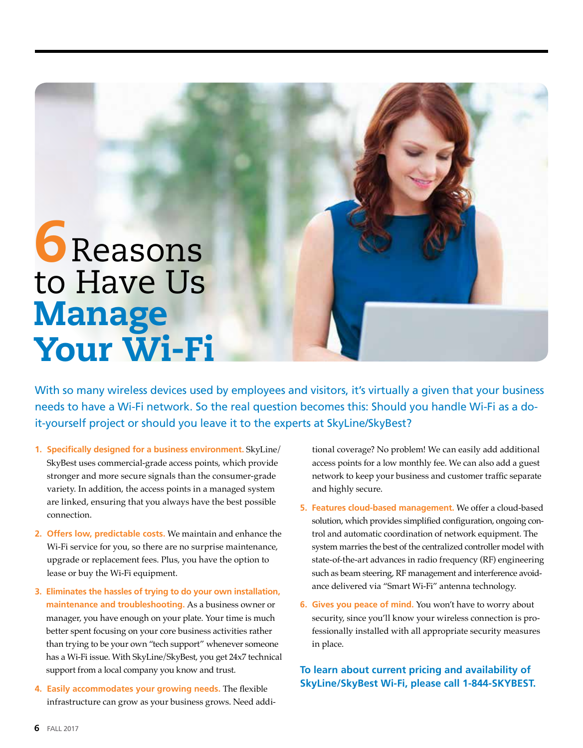# **6** Reasons to Have Us Manage Your Wi-Fi

With so many wireless devices used by employees and visitors, it's virtually a given that your business needs to have a Wi-Fi network. So the real question becomes this: Should you handle Wi-Fi as a doit-yourself project or should you leave it to the experts at SkyLine/SkyBest?

- **1. Specifically designed for a business environment.** SkyLine/ SkyBest uses commercial-grade access points, which provide stronger and more secure signals than the consumer-grade variety. In addition, the access points in a managed system are linked, ensuring that you always have the best possible connection.
- **2. Offers low, predictable costs.** We maintain and enhance the Wi-Fi service for you, so there are no surprise maintenance, upgrade or replacement fees. Plus, you have the option to lease or buy the Wi-Fi equipment.
- **3. Eliminates the hassles of trying to do your own installation, maintenance and troubleshooting.** As a business owner or manager, you have enough on your plate. Your time is much better spent focusing on your core business activities rather than trying to be your own "tech support" whenever someone has a Wi-Fi issue. With SkyLine/SkyBest, you get 24x7 technical support from a local company you know and trust.
- **4. Easily accommodates your growing needs.** The flexible infrastructure can grow as your business grows. Need addi-

tional coverage? No problem! We can easily add additional access points for a low monthly fee. We can also add a guest network to keep your business and customer traffic separate and highly secure.

- **5. Features cloud-based management.** We offer a cloud-based solution, which provides simplified configuration, ongoing control and automatic coordination of network equipment. The system marries the best of the centralized controller model with state-of-the-art advances in radio frequency (RF) engineering such as beam steering, RF management and interference avoidance delivered via "Smart Wi-Fi" antenna technology.
- **6. Gives you peace of mind.** You won't have to worry about security, since you'll know your wireless connection is professionally installed with all appropriate security measures in place.

**To learn about current pricing and availability of SkyLine/SkyBest Wi-Fi, please call 1-844-SKYBEST.**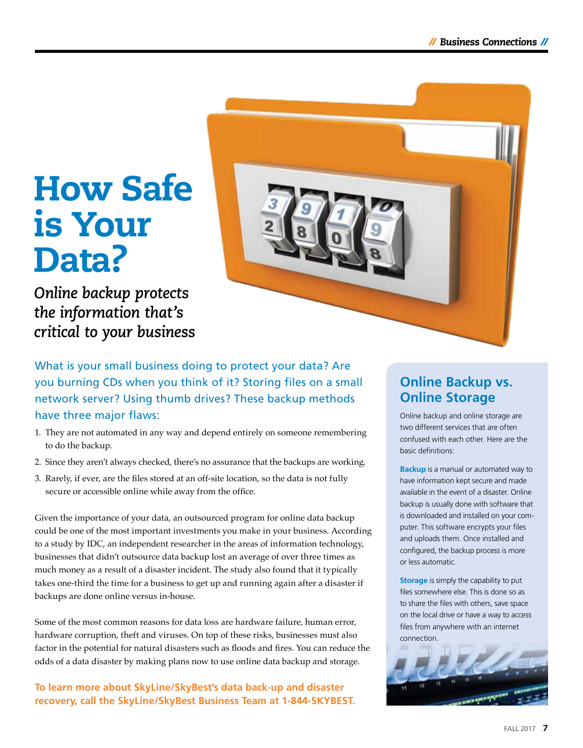# How Safe is Your Data?

*Online backup protects the information that's critical to your business* 



What is your small business doing to protect your data? Are you burning CDs when you think of it? Storing files on a small network server? Using thumb drives? These backup methods have three major flaws:

- 1. They are not automated in any way and depend entirely on someone remembering to do the backup.
- 2. Since they aren't always checked, there's no assurance that the backups are working.
- 3. Rarely, if ever, are the files stored at an off-site location, so the data is not fully secure or accessible online while away from the office.

Given the importance of your data, an outsourced program for online data backup could be one of the most important investments you make in your business. According to a study by IDC, an independent researcher in the areas of information technology, businesses that didn't outsource data backup lost an average of over three times as much money as a result of a disaster incident. The study also found that it typically takes one-third the time for a business to get up and running again after a disaster if backups are done online versus in-house.

Some of the most common reasons for data loss are hardware failure, human error, hardware corruption, theft and viruses. On top of these risks, businesses must also factor in the potential for natural disasters such as floods and fires. You can reduce the odds of a data disaster by making plans now to use online data backup and storage.

**To learn more about SkyLine/SkyBest's data back-up and disaster recovery, call the SkyLine/SkyBest Business Team at 1-844-SKYBEST.**

#### **Online Backup vs. Online Storage**

Online backup and online storage are two different services that are often confused with each other. Here are the basic definitions:

**Backup** is a manual or automated way to have information kept secure and made available in the event of a disaster. Online backup is usually done with software that is downloaded and installed on your computer. This software encrypts your files and uploads them. Once installed and configured, the backup process is more or less automatic.

**Storage** is simply the capability to put files somewhere else. This is done so as to share the files with others, save space on the local drive or have a way to access files from anywhere with an internet connection.